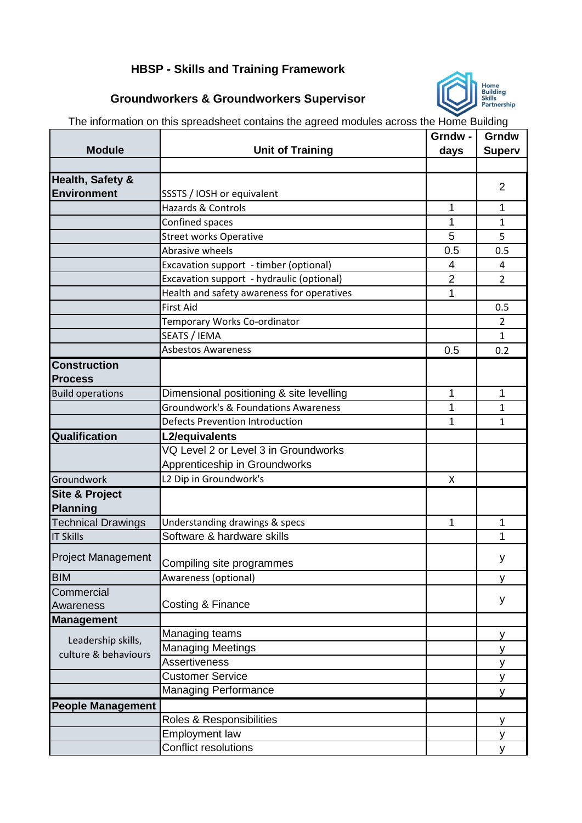## **HBSP - Skills and Training Framework**

## **Groundworkers & Groundworkers Supervisor**



The information on this spreadsheet contains the agreed modules across the Home Building

| <b>Module</b>                         | <b>Unit of Training</b>                         | Grndw -<br>days | Grndw<br><b>Superv</b> |
|---------------------------------------|-------------------------------------------------|-----------------|------------------------|
|                                       |                                                 |                 |                        |
| Health, Safety &                      |                                                 |                 |                        |
| <b>Environment</b>                    | SSSTS / IOSH or equivalent                      |                 | $\overline{2}$         |
|                                       | <b>Hazards &amp; Controls</b>                   | 1               | 1                      |
|                                       | Confined spaces                                 | 1               | $\mathbf{1}$           |
|                                       | <b>Street works Operative</b>                   | 5               | 5                      |
|                                       | Abrasive wheels                                 | 0.5             | 0.5                    |
|                                       | Excavation support - timber (optional)          | $\overline{4}$  | 4                      |
|                                       | Excavation support - hydraulic (optional)       | $\overline{2}$  | $\overline{2}$         |
|                                       | Health and safety awareness for operatives      | 1               |                        |
|                                       | <b>First Aid</b>                                |                 | 0.5                    |
|                                       | Temporary Works Co-ordinator                    |                 | $\overline{2}$         |
|                                       | SEATS / IEMA                                    |                 | $\mathbf{1}$           |
|                                       | <b>Asbestos Awareness</b>                       | 0.5             | 0.2                    |
| <b>Construction</b><br><b>Process</b> |                                                 |                 |                        |
| <b>Build operations</b>               | Dimensional positioning & site levelling        | 1               | 1                      |
|                                       | <b>Groundwork's &amp; Foundations Awareness</b> | 1               | $\mathbf{1}$           |
|                                       | <b>Defects Prevention Introduction</b>          | 1               | $\mathbf{1}$           |
| Qualification                         | L2/equivalents                                  |                 |                        |
|                                       | VQ Level 2 or Level 3 in Groundworks            |                 |                        |
|                                       | Apprenticeship in Groundworks                   |                 |                        |
| Groundwork                            | L2 Dip in Groundwork's                          | X               |                        |
| <b>Site &amp; Project</b>             |                                                 |                 |                        |
| Planning                              |                                                 |                 |                        |
| <b>Technical Drawings</b>             | Understanding drawings & specs                  | 1               | $\mathbf{1}$           |
| <b>IT Skills</b>                      | Software & hardware skills                      |                 | 1                      |
| <b>Project Management</b>             | Compiling site programmes                       |                 | у                      |
| <b>BIM</b>                            | Awareness (optional)                            |                 | y                      |
| Commercial                            |                                                 |                 |                        |
| Awareness                             | Costing & Finance                               |                 | y                      |
| <b>Management</b>                     |                                                 |                 |                        |
| Leadership skills,                    | Managing teams                                  |                 | У                      |
| culture & behaviours                  | <b>Managing Meetings</b>                        |                 | y                      |
|                                       | <b>Assertiveness</b>                            |                 | у                      |
|                                       | <b>Customer Service</b>                         |                 | у                      |
|                                       | <b>Managing Performance</b>                     |                 | y                      |
| <b>People Management</b>              |                                                 |                 |                        |
|                                       | Roles & Responsibilities                        |                 | у                      |
|                                       | <b>Employment law</b>                           |                 | у                      |
|                                       | Conflict resolutions                            |                 | v                      |